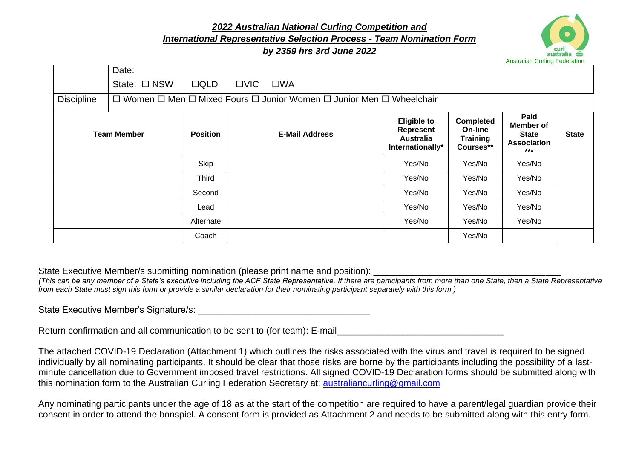*2022 Australian National Curling Competition and International Representative Selection Process - Team Nomination Form*

## *by 2359 hrs 3rd June 2022*



|                   | Date:                                                                |                 |               |                       |                                                                         |                                                      |                                                                  |              |
|-------------------|----------------------------------------------------------------------|-----------------|---------------|-----------------------|-------------------------------------------------------------------------|------------------------------------------------------|------------------------------------------------------------------|--------------|
|                   | State: □ NSW                                                         | $\Box QLD$      | $\square$ VIC | $\square$ WA          |                                                                         |                                                      |                                                                  |              |
| <b>Discipline</b> | □ Women □ Men □ Mixed Fours □ Junior Women □ Junior Men □ Wheelchair |                 |               |                       |                                                                         |                                                      |                                                                  |              |
|                   | <b>Team Member</b>                                                   | <b>Position</b> |               | <b>E-Mail Address</b> | <b>Eligible to</b><br>Represent<br><b>Australia</b><br>Internationally* | Completed<br>On-line<br><b>Training</b><br>Courses** | Paid<br>Member of<br><b>State</b><br><b>Association</b><br>$***$ | <b>State</b> |
|                   |                                                                      | Skip            |               |                       | Yes/No                                                                  | Yes/No                                               | Yes/No                                                           |              |
|                   |                                                                      | Third           |               |                       | Yes/No                                                                  | Yes/No                                               | Yes/No                                                           |              |
|                   |                                                                      | Second          |               |                       | Yes/No                                                                  | Yes/No                                               | Yes/No                                                           |              |
|                   |                                                                      | Lead            |               |                       | Yes/No                                                                  | Yes/No                                               | Yes/No                                                           |              |
|                   |                                                                      | Alternate       |               |                       | Yes/No                                                                  | Yes/No                                               | Yes/No                                                           |              |
|                   |                                                                      | Coach           |               |                       |                                                                         | Yes/No                                               |                                                                  |              |

State Executive Member/s submitting nomination (please print name and position):

*(This can be any member of a State's executive including the ACF State Representative. If there are participants from more than one State, then a State Representative from each State must sign this form or provide a similar declaration for their nominating participant separately with this form.)*

State Executive Member's Signature/s: \_\_\_\_\_\_\_\_\_\_\_\_\_\_\_\_\_\_\_\_\_\_\_\_\_\_\_\_\_\_\_\_\_\_

Return confirmation and all communication to be sent to (for team): E-mail

The attached COVID-19 Declaration (Attachment 1) which outlines the risks associated with the virus and travel is required to be signed individually by all nominating participants. It should be clear that those risks are borne by the participants including the possibility of a lastminute cancellation due to Government imposed travel restrictions. All signed COVID-19 Declaration forms should be submitted along with this nomination form to the Australian Curling Federation Secretary at: [australiancurling@gmail.com](mailto:australiancurling@gmail.com)

Any nominating participants under the age of 18 as at the start of the competition are required to have a parent/legal guardian provide their consent in order to attend the bonspiel. A consent form is provided as Attachment 2 and needs to be submitted along with this entry form.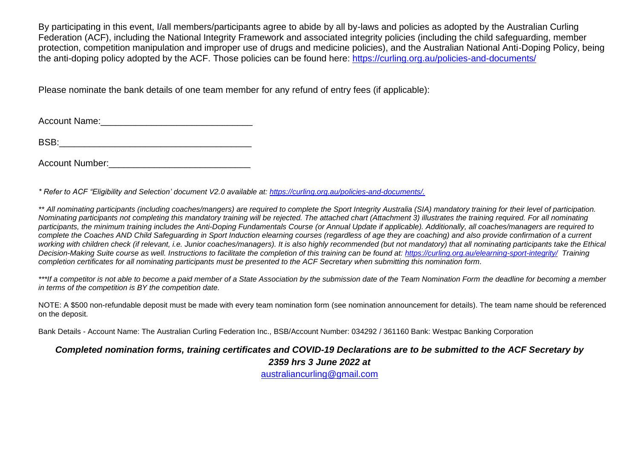By participating in this event, I/all members/participants agree to abide by all by-laws and policies as adopted by the Australian Curling Federation (ACF), including the National Integrity Framework and associated integrity policies (including the child safeguarding, member protection, competition manipulation and improper use of drugs and medicine policies), and the Australian National Anti-Doping Policy, being the anti-doping policy adopted by the ACF. Those policies can be found here:<https://curling.org.au/policies-and-documents/>

Please nominate the bank details of one team member for any refund of entry fees (if applicable):

Account Name:

BSB:\_\_\_\_\_\_\_\_\_\_\_\_\_\_\_\_\_\_\_\_\_\_\_\_\_\_\_\_\_\_\_\_\_\_\_\_\_\_

Account Number:

*\* Refer to ACF "Eligibility and Selection' document V2.0 available at: [https://curling.org.au/policies-and-documents/.](https://curling.org.au/policies-and-documents/)*

*\*\* All nominating participants (including coaches/mangers) are required to complete the Sport Integrity Australia (SIA) mandatory training for their level of participation. Nominating participants not completing this mandatory training will be rejected. The attached chart (Attachment 3) illustrates the training required. For all nominating participants, the minimum training includes the Anti-Doping Fundamentals Course (or Annual Update if applicable). Additionally, all coaches/managers are required to complete the Coaches AND Child Safeguarding in Sport Induction elearning courses (regardless of age they are coaching) and also provide confirmation of a current*  working with children check (if relevant, i.e. Junior coaches/managers). It is also highly recommended (but not mandatory) that all nominating participants take the Ethical *Decision-Making Suite course as well. Instructions to facilitate the completion of this training can be found at:<https://curling.org.au/elearning-sport-integrity/>Training completion certificates for all nominating participants must be presented to the ACF Secretary when submitting this nomination form.* 

*\*\*\*If a competitor is not able to become a paid member of a State Association by the submission date of the Team Nomination Form the deadline for becoming a member in terms of the competition is BY the competition date.*

NOTE: A \$500 non-refundable deposit must be made with every team nomination form (see nomination announcement for details). The team name should be referenced on the deposit.

Bank Details - Account Name: The Australian Curling Federation Inc., BSB/Account Number: 034292 / 361160 Bank: Westpac Banking Corporation

## *Completed nomination forms, training certificates and COVID-19 Declarations are to be submitted to the ACF Secretary by*

*2359 hrs 3 June 2022 at*

[australiancurling@gmail.com](mailto:australiancurling@gmail.com)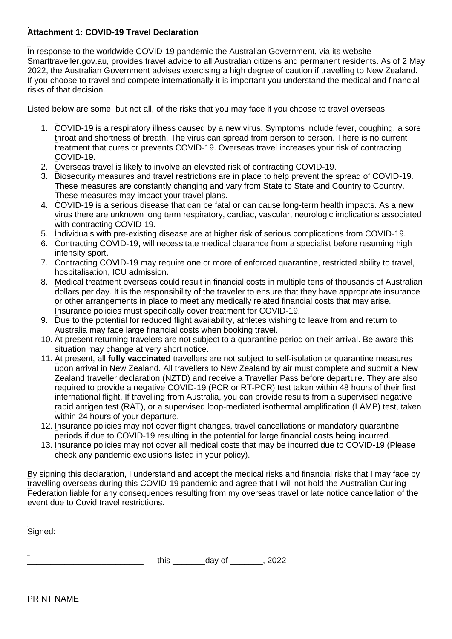## **Attachment 1: COVID-19 Travel Declaration**

In response to the worldwide COVID-19 pandemic the Australian Government, via its website Smarttraveller.gov.au, provides travel advice to all Australian citizens and permanent residents. As of 2 May 2022, the Australian Government advises exercising a high degree of caution if travelling to New Zealand. If you choose to travel and compete internationally it is important you understand the medical and financial risks of that decision.

Listed below are some, but not all, of the risks that you may face if you choose to travel overseas:

- 1. COVID-19 is a respiratory illness caused by a new virus. Symptoms include fever, coughing, a sore throat and shortness of breath. The virus can spread from person to person. There is no current treatment that cures or prevents COVID-19. Overseas travel increases your risk of contracting COVID-19.
- 2. Overseas travel is likely to involve an elevated risk of contracting COVID-19.
- 3. Biosecurity measures and travel restrictions are in place to help prevent the spread of COVID-19. These measures are constantly changing and vary from State to State and Country to Country. These measures may impact your travel plans.
- 4. COVID-19 is a serious disease that can be fatal or can cause long-term health impacts. As a new virus there are unknown long term respiratory, cardiac, vascular, neurologic implications associated with contracting COVID-19.
- 5. Individuals with pre-existing disease are at higher risk of serious complications from COVID-19.
- 6. Contracting COVID-19, will necessitate medical clearance from a specialist before resuming high intensity sport.
- 7. Contracting COVID-19 may require one or more of enforced quarantine, restricted ability to travel, hospitalisation, ICU admission.
- 8. Medical treatment overseas could result in financial costs in multiple tens of thousands of Australian dollars per day. It is the responsibility of the traveler to ensure that they have appropriate insurance or other arrangements in place to meet any medically related financial costs that may arise. Insurance policies must specifically cover treatment for COVID-19.
- 9. Due to the potential for reduced flight availability, athletes wishing to leave from and return to Australia may face large financial costs when booking travel.
- 10. At present returning travelers are not subject to a quarantine period on their arrival. Be aware this situation may change at very short notice.
- 11. At present, all **fully vaccinated** travellers are not subject to self-isolation or quarantine measures upon arrival in New Zealand. All travellers to New Zealand by air must complete and submit a New Zealand traveller declaration (NZTD) and receive a Traveller Pass before departure. They are also required to provide a negative COVID-19 (PCR or RT-PCR) test taken within 48 hours of their first international flight. If travelling from Australia, you can provide results from a supervised negative rapid antigen test (RAT), or a supervised loop-mediated isothermal amplification (LAMP) test, taken within 24 hours of your departure.
- 12. Insurance policies may not cover flight changes, travel cancellations or mandatory quarantine periods if due to COVID-19 resulting in the potential for large financial costs being incurred.
- 13. Insurance policies may not cover all medical costs that may be incurred due to COVID-19 (Please check any pandemic exclusions listed in your policy).

By signing this declaration, I understand and accept the medical risks and financial risks that I may face by travelling overseas during this COVID-19 pandemic and agree that I will not hold the Australian Curling Federation liable for any consequences resulting from my overseas travel or late notice cancellation of the event due to Covid travel restrictions.

Signed:

| this | $\sim$ $\sim$ $\sim$ $\sim$<br>aav<br>--<br>- | $\sim$<br>,,<br>$\overline{\phantom{a}}$ |
|------|-----------------------------------------------|------------------------------------------|
|      |                                               |                                          |

\_\_\_\_\_\_\_\_\_\_\_\_\_\_\_\_\_\_\_\_\_\_\_\_\_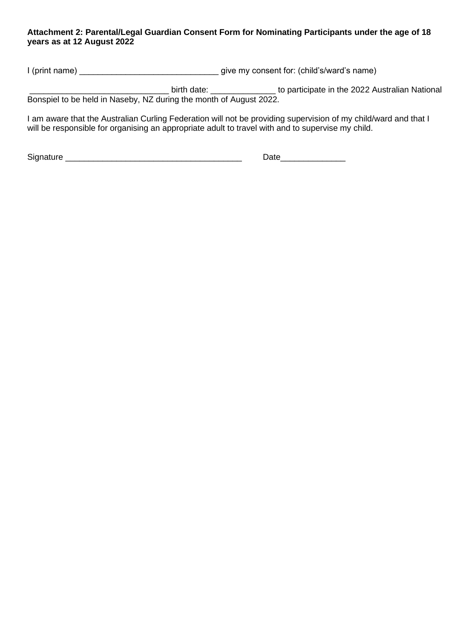## **Attachment 2: Parental/Legal Guardian Consent Form for Nominating Participants under the age of 18 years as at 12 August 2022**

I (print name) \_\_\_\_\_\_\_\_\_\_\_\_\_\_\_\_\_\_\_\_\_\_\_\_\_\_\_\_\_\_ give my consent for: (child's/ward's name)

\_\_\_\_\_\_\_\_\_\_\_\_\_\_\_\_\_\_\_\_\_\_\_\_\_\_\_\_\_\_ birth date: \_\_\_\_\_\_\_\_\_\_\_\_\_\_ to participate in the 2022 Australian National Bonspiel to be held in Naseby, NZ during the month of August 2022.

I am aware that the Australian Curling Federation will not be providing supervision of my child/ward and that I will be responsible for organising an appropriate adult to travel with and to supervise my child.

Signature \_\_\_\_\_\_\_\_\_\_\_\_\_\_\_\_\_\_\_\_\_\_\_\_\_\_\_\_\_\_\_\_\_\_\_\_\_\_ Date\_\_\_\_\_\_\_\_\_\_\_\_\_\_